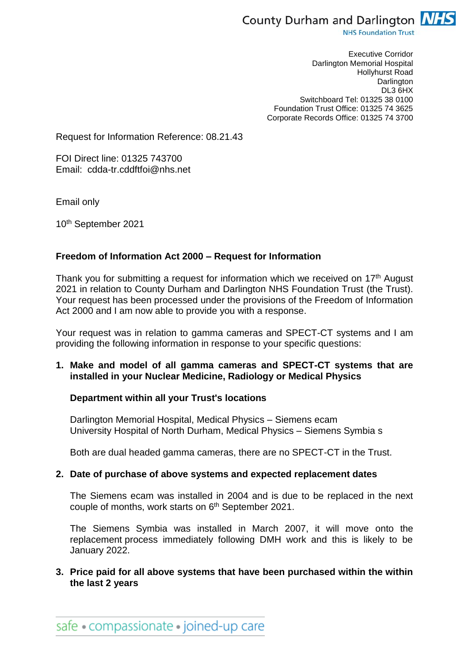

**NHS Foundation Trust** 

Executive Corridor Darlington Memorial Hospital Hollyhurst Road **Darlington** DL3 6HX Switchboard Tel: 01325 38 0100 Foundation Trust Office: 01325 74 3625 Corporate Records Office: 01325 74 3700

Request for Information Reference: 08.21.43

FOI Direct line: 01325 743700 Email: cdda-tr.cddftfoi@nhs.net

Email only

10th September 2021

## **Freedom of Information Act 2000 – Request for Information**

Thank you for submitting a request for information which we received on 17<sup>th</sup> August 2021 in relation to County Durham and Darlington NHS Foundation Trust (the Trust). Your request has been processed under the provisions of the Freedom of Information Act 2000 and I am now able to provide you with a response.

Your request was in relation to gamma cameras and SPECT-CT systems and I am providing the following information in response to your specific questions:

## **1. Make and model of all gamma cameras and SPECT-CT systems that are installed in your Nuclear Medicine, Radiology or Medical Physics**

### **Department within all your Trust's locations**

Darlington Memorial Hospital, Medical Physics – Siemens ecam University Hospital of North Durham, Medical Physics – Siemens Symbia s

Both are dual headed gamma cameras, there are no SPECT-CT in the Trust.

#### **2. Date of purchase of above systems and expected replacement dates**

The Siemens ecam was installed in 2004 and is due to be replaced in the next couple of months, work starts on 6th September 2021.

The Siemens Symbia was installed in March 2007, it will move onto the replacement process immediately following DMH work and this is likely to be January 2022.

**3. Price paid for all above systems that have been purchased within the within the last 2 years**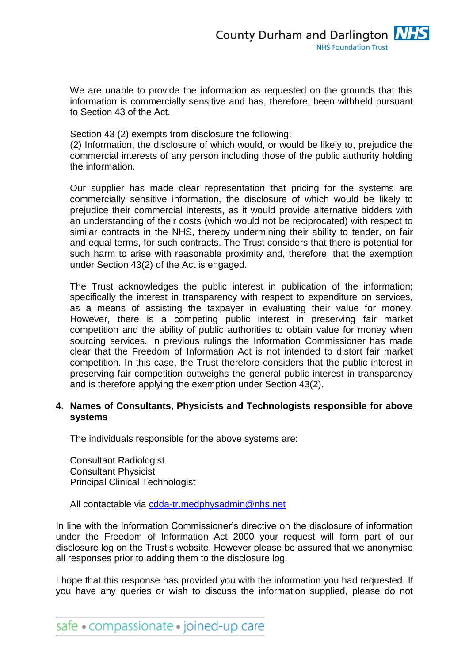We are unable to provide the information as requested on the grounds that this information is commercially sensitive and has, therefore, been withheld pursuant to Section 43 of the Act.

Section 43 (2) exempts from disclosure the following:

(2) Information, the disclosure of which would, or would be likely to, prejudice the commercial interests of any person including those of the public authority holding the information.

Our supplier has made clear representation that pricing for the systems are commercially sensitive information, the disclosure of which would be likely to prejudice their commercial interests, as it would provide alternative bidders with an understanding of their costs (which would not be reciprocated) with respect to similar contracts in the NHS, thereby undermining their ability to tender, on fair and equal terms, for such contracts. The Trust considers that there is potential for such harm to arise with reasonable proximity and, therefore, that the exemption under Section 43(2) of the Act is engaged.

The Trust acknowledges the public interest in publication of the information; specifically the interest in transparency with respect to expenditure on services, as a means of assisting the taxpayer in evaluating their value for money. However, there is a competing public interest in preserving fair market competition and the ability of public authorities to obtain value for money when sourcing services. In previous rulings the Information Commissioner has made clear that the Freedom of Information Act is not intended to distort fair market competition. In this case, the Trust therefore considers that the public interest in preserving fair competition outweighs the general public interest in transparency and is therefore applying the exemption under Section 43(2).

# **4. Names of Consultants, Physicists and Technologists responsible for above systems**

The individuals responsible for the above systems are:

Consultant Radiologist Consultant Physicist Principal Clinical Technologist

All contactable via [cdda-tr.medphysadmin@nhs.net](mailto:cdda-tr.medphysadmin@nhs.net)

In line with the Information Commissioner's directive on the disclosure of information under the Freedom of Information Act 2000 your request will form part of our disclosure log on the Trust's website. However please be assured that we anonymise all responses prior to adding them to the disclosure log.

I hope that this response has provided you with the information you had requested. If you have any queries or wish to discuss the information supplied, please do not